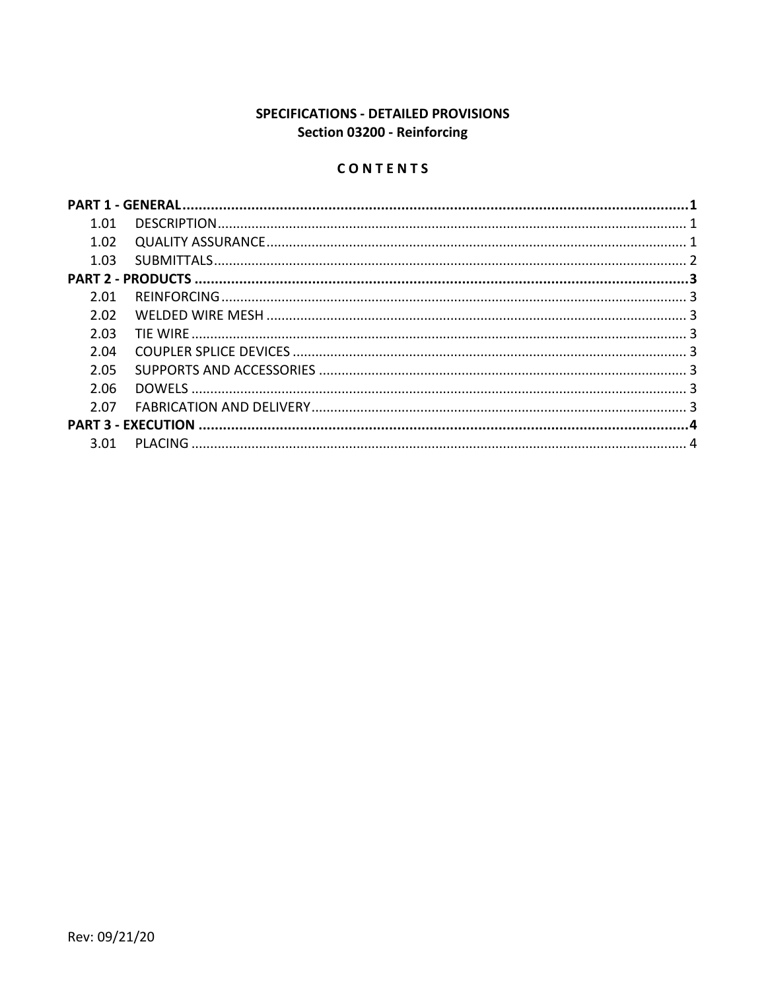# SPECIFICATIONS - DETAILED PROVISIONS Section 03200 - Reinforcing

# CONTENTS

| 1.01 |  |  |
|------|--|--|
| 1.02 |  |  |
| 1.03 |  |  |
|      |  |  |
| 2.01 |  |  |
| 2.02 |  |  |
| 2.03 |  |  |
| 2.04 |  |  |
| 2.05 |  |  |
| 2.06 |  |  |
| 2.07 |  |  |
|      |  |  |
| 3.01 |  |  |
|      |  |  |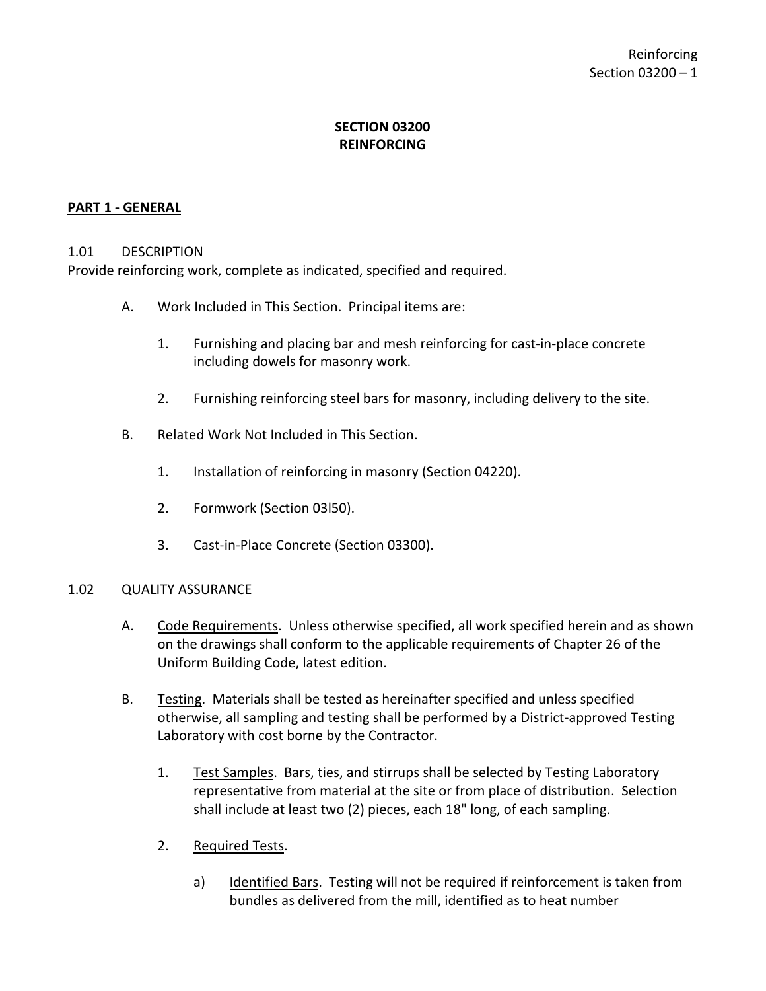## **SECTION 03200 REINFORCING**

### <span id="page-2-0"></span>**PART 1 - GENERAL**

#### <span id="page-2-1"></span>1.01 DESCRIPTION

Provide reinforcing work, complete as indicated, specified and required.

- A. Work Included in This Section. Principal items are:
	- 1. Furnishing and placing bar and mesh reinforcing for cast-in-place concrete including dowels for masonry work.
	- 2. Furnishing reinforcing steel bars for masonry, including delivery to the site.
- B. Related Work Not Included in This Section.
	- 1. Installation of reinforcing in masonry (Section 04220).
	- 2. Formwork (Section 03l50).
	- 3. Cast-in-Place Concrete (Section 03300).

#### <span id="page-2-2"></span>1.02 QUALITY ASSURANCE

- A. Code Requirements. Unless otherwise specified, all work specified herein and as shown on the drawings shall conform to the applicable requirements of Chapter 26 of the Uniform Building Code, latest edition.
- B. Testing. Materials shall be tested as hereinafter specified and unless specified otherwise, all sampling and testing shall be performed by a District-approved Testing Laboratory with cost borne by the Contractor.
	- 1. Test Samples. Bars, ties, and stirrups shall be selected by Testing Laboratory representative from material at the site or from place of distribution. Selection shall include at least two (2) pieces, each 18" long, of each sampling.
	- 2. Required Tests.
		- a) Identified Bars. Testing will not be required if reinforcement is taken from bundles as delivered from the mill, identified as to heat number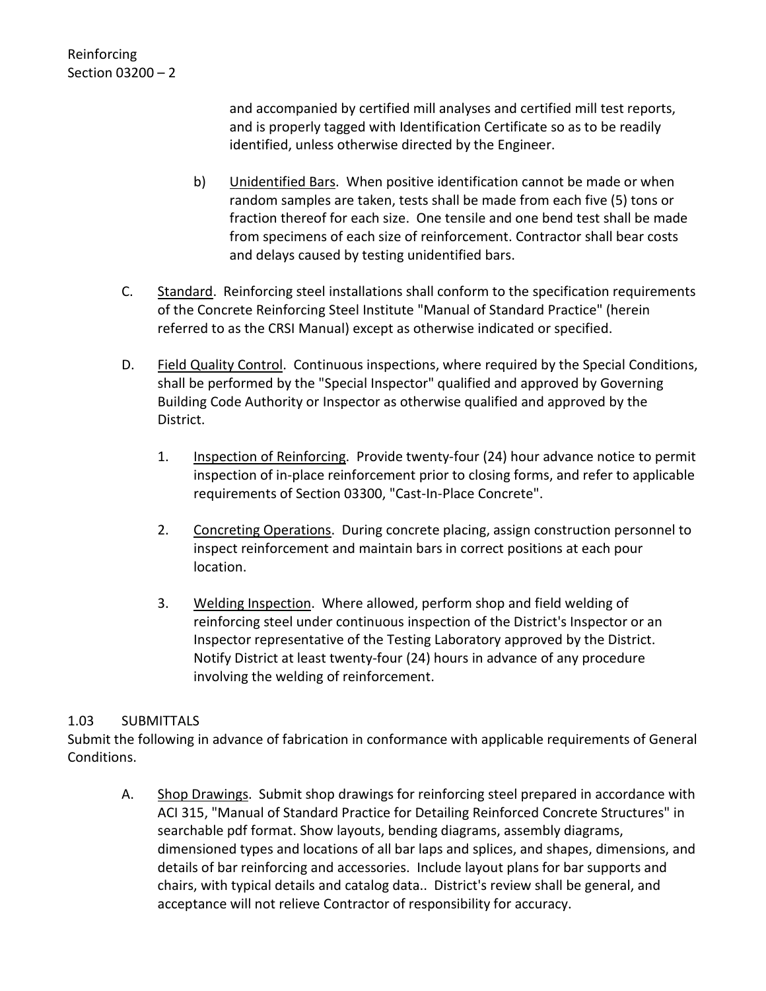and accompanied by certified mill analyses and certified mill test reports, and is properly tagged with Identification Certificate so as to be readily identified, unless otherwise directed by the Engineer.

- b) Unidentified Bars. When positive identification cannot be made or when random samples are taken, tests shall be made from each five (5) tons or fraction thereof for each size. One tensile and one bend test shall be made from specimens of each size of reinforcement. Contractor shall bear costs and delays caused by testing unidentified bars.
- C. Standard. Reinforcing steel installations shall conform to the specification requirements of the Concrete Reinforcing Steel Institute "Manual of Standard Practice" (herein referred to as the CRSI Manual) except as otherwise indicated or specified.
- D. Field Quality Control. Continuous inspections, where required by the Special Conditions, shall be performed by the "Special Inspector" qualified and approved by Governing Building Code Authority or Inspector as otherwise qualified and approved by the District.
	- 1. Inspection of Reinforcing. Provide twenty-four (24) hour advance notice to permit inspection of in-place reinforcement prior to closing forms, and refer to applicable requirements of Section 03300, "Cast-In-Place Concrete".
	- 2. Concreting Operations. During concrete placing, assign construction personnel to inspect reinforcement and maintain bars in correct positions at each pour location.
	- 3. Welding Inspection. Where allowed, perform shop and field welding of reinforcing steel under continuous inspection of the District's Inspector or an Inspector representative of the Testing Laboratory approved by the District. Notify District at least twenty-four (24) hours in advance of any procedure involving the welding of reinforcement.

## <span id="page-3-0"></span>1.03 SUBMITTALS

Submit the following in advance of fabrication in conformance with applicable requirements of General Conditions.

A. Shop Drawings. Submit shop drawings for reinforcing steel prepared in accordance with ACI 315, "Manual of Standard Practice for Detailing Reinforced Concrete Structures" in searchable pdf format. Show layouts, bending diagrams, assembly diagrams, dimensioned types and locations of all bar laps and splices, and shapes, dimensions, and details of bar reinforcing and accessories. Include layout plans for bar supports and chairs, with typical details and catalog data.. District's review shall be general, and acceptance will not relieve Contractor of responsibility for accuracy.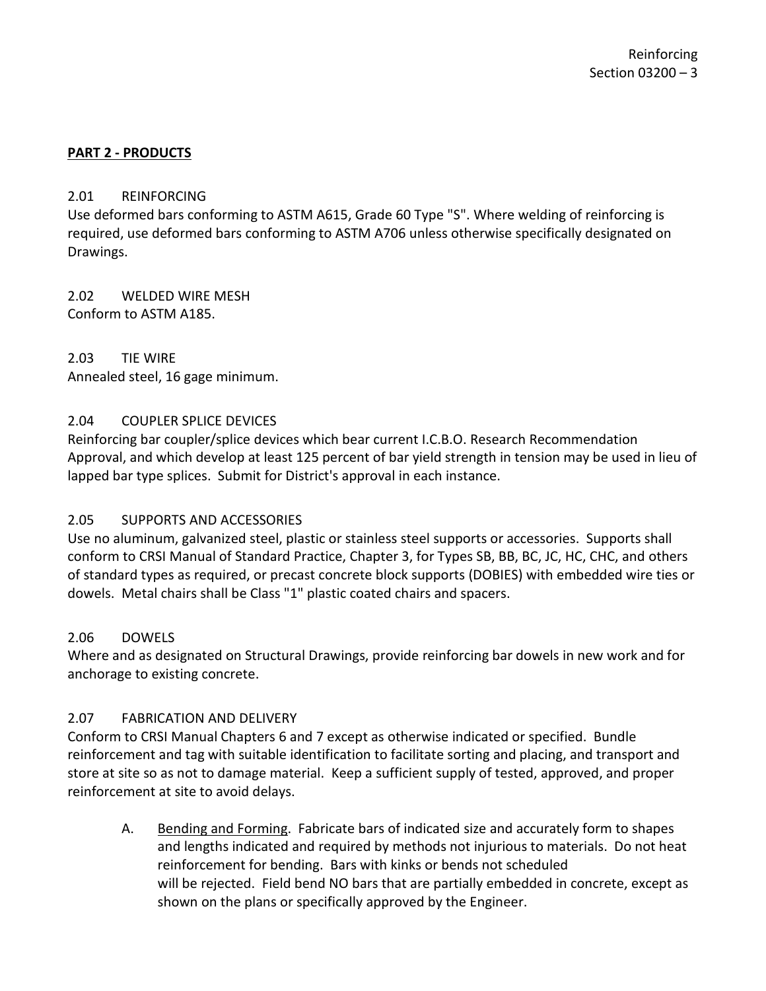### <span id="page-4-0"></span>**PART 2 - PRODUCTS**

#### <span id="page-4-1"></span>2.01 REINFORCING

Use deformed bars conforming to ASTM A615, Grade 60 Type "S". Where welding of reinforcing is required, use deformed bars conforming to ASTM A706 unless otherwise specifically designated on Drawings.

<span id="page-4-2"></span>2.02 WELDED WIRE MESH Conform to ASTM A185.

<span id="page-4-3"></span>2.03 TIE WIRE Annealed steel, 16 gage minimum.

#### <span id="page-4-4"></span>2.04 COUPLER SPLICE DEVICES

Reinforcing bar coupler/splice devices which bear current I.C.B.O. Research Recommendation Approval, and which develop at least 125 percent of bar yield strength in tension may be used in lieu of lapped bar type splices. Submit for District's approval in each instance.

### <span id="page-4-5"></span>2.05 SUPPORTS AND ACCESSORIES

Use no aluminum, galvanized steel, plastic or stainless steel supports or accessories. Supports shall conform to CRSI Manual of Standard Practice, Chapter 3, for Types SB, BB, BC, JC, HC, CHC, and others of standard types as required, or precast concrete block supports (DOBIES) with embedded wire ties or dowels. Metal chairs shall be Class "1" plastic coated chairs and spacers.

### <span id="page-4-6"></span>2.06 DOWELS

Where and as designated on Structural Drawings, provide reinforcing bar dowels in new work and for anchorage to existing concrete.

### <span id="page-4-7"></span>2.07 FABRICATION AND DELIVERY

Conform to CRSI Manual Chapters 6 and 7 except as otherwise indicated or specified. Bundle reinforcement and tag with suitable identification to facilitate sorting and placing, and transport and store at site so as not to damage material. Keep a sufficient supply of tested, approved, and proper reinforcement at site to avoid delays.

A. Bending and Forming. Fabricate bars of indicated size and accurately form to shapes and lengths indicated and required by methods not injurious to materials. Do not heat reinforcement for bending. Bars with kinks or bends not scheduled will be rejected. Field bend NO bars that are partially embedded in concrete, except as shown on the plans or specifically approved by the Engineer.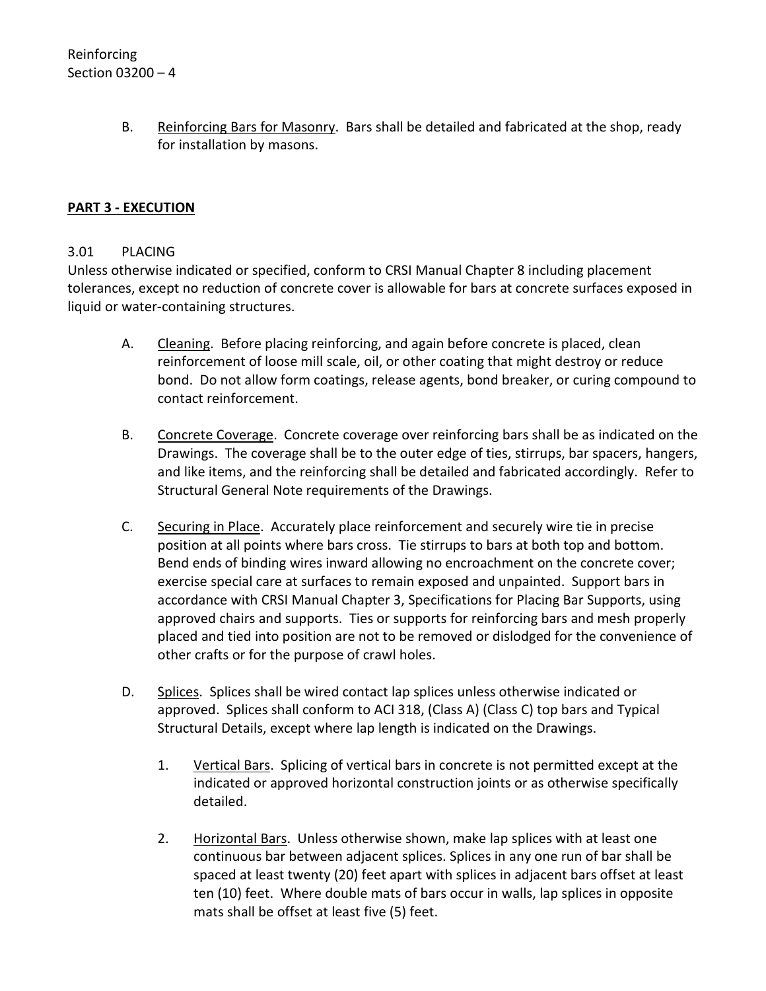B. Reinforcing Bars for Masonry. Bars shall be detailed and fabricated at the shop, ready for installation by masons.

## <span id="page-5-0"></span>**PART 3 - EXECUTION**

#### <span id="page-5-1"></span>3.01 PLACING

Unless otherwise indicated or specified, conform to CRSI Manual Chapter 8 including placement tolerances, except no reduction of concrete cover is allowable for bars at concrete surfaces exposed in liquid or water-containing structures.

- A. Cleaning. Before placing reinforcing, and again before concrete is placed, clean reinforcement of loose mill scale, oil, or other coating that might destroy or reduce bond. Do not allow form coatings, release agents, bond breaker, or curing compound to contact reinforcement.
- B. Concrete Coverage. Concrete coverage over reinforcing bars shall be as indicated on the Drawings. The coverage shall be to the outer edge of ties, stirrups, bar spacers, hangers, and like items, and the reinforcing shall be detailed and fabricated accordingly. Refer to Structural General Note requirements of the Drawings.
- C. Securing in Place. Accurately place reinforcement and securely wire tie in precise position at all points where bars cross. Tie stirrups to bars at both top and bottom. Bend ends of binding wires inward allowing no encroachment on the concrete cover; exercise special care at surfaces to remain exposed and unpainted. Support bars in accordance with CRSI Manual Chapter 3, Specifications for Placing Bar Supports, using approved chairs and supports. Ties or supports for reinforcing bars and mesh properly placed and tied into position are not to be removed or dislodged for the convenience of other crafts or for the purpose of crawl holes.
- D. Splices. Splices shall be wired contact lap splices unless otherwise indicated or approved. Splices shall conform to ACI 318, (Class A) (Class C) top bars and Typical Structural Details, except where lap length is indicated on the Drawings.
	- 1. Vertical Bars. Splicing of vertical bars in concrete is not permitted except at the indicated or approved horizontal construction joints or as otherwise specifically detailed.
	- 2. Horizontal Bars. Unless otherwise shown, make lap splices with at least one continuous bar between adjacent splices. Splices in any one run of bar shall be spaced at least twenty (20) feet apart with splices in adjacent bars offset at least ten (10) feet. Where double mats of bars occur in walls, lap splices in opposite mats shall be offset at least five (5) feet.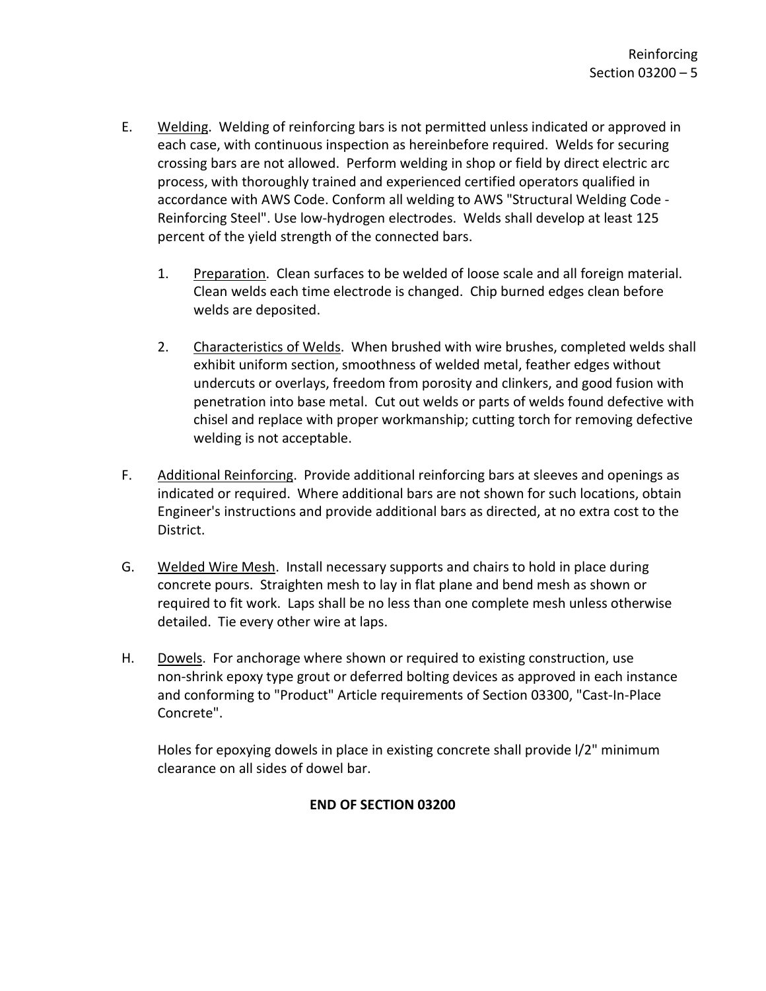- E. Welding. Welding of reinforcing bars is not permitted unless indicated or approved in each case, with continuous inspection as hereinbefore required. Welds for securing crossing bars are not allowed. Perform welding in shop or field by direct electric arc process, with thoroughly trained and experienced certified operators qualified in accordance with AWS Code. Conform all welding to AWS "Structural Welding Code - Reinforcing Steel". Use low-hydrogen electrodes. Welds shall develop at least 125 percent of the yield strength of the connected bars.
	- 1. Preparation. Clean surfaces to be welded of loose scale and all foreign material. Clean welds each time electrode is changed. Chip burned edges clean before welds are deposited.
	- 2. Characteristics of Welds. When brushed with wire brushes, completed welds shall exhibit uniform section, smoothness of welded metal, feather edges without undercuts or overlays, freedom from porosity and clinkers, and good fusion with penetration into base metal. Cut out welds or parts of welds found defective with chisel and replace with proper workmanship; cutting torch for removing defective welding is not acceptable.
- F. Additional Reinforcing. Provide additional reinforcing bars at sleeves and openings as indicated or required. Where additional bars are not shown for such locations, obtain Engineer's instructions and provide additional bars as directed, at no extra cost to the District.
- G. Welded Wire Mesh. Install necessary supports and chairs to hold in place during concrete pours. Straighten mesh to lay in flat plane and bend mesh as shown or required to fit work. Laps shall be no less than one complete mesh unless otherwise detailed. Tie every other wire at laps.
- H. Dowels. For anchorage where shown or required to existing construction, use non-shrink epoxy type grout or deferred bolting devices as approved in each instance and conforming to "Product" Article requirements of Section 03300, "Cast-In-Place Concrete".

Holes for epoxying dowels in place in existing concrete shall provide l/2" minimum clearance on all sides of dowel bar.

## **END OF SECTION 03200**